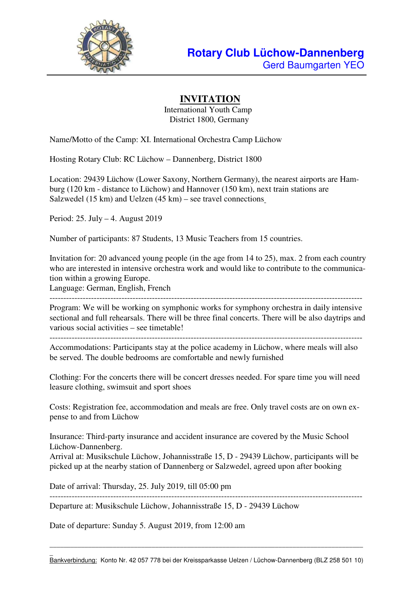

# **INVITATION**

International Youth Camp District 1800, Germany

Name/Motto of the Camp: XI. International Orchestra Camp Lüchow

Hosting Rotary Club: RC Lüchow – Dannenberg, District 1800

Location: 29439 Lüchow (Lower Saxony, Northern Germany), the nearest airports are Hamburg (120 km - distance to Lüchow) and Hannover (150 km), next train stations are Salzwedel (15 km) and Uelzen (45 km) – see travel connections

Period: 25. July – 4. August 2019

Number of participants: 87 Students, 13 Music Teachers from 15 countries.

Invitation for: 20 advanced young people (in the age from 14 to 25), max. 2 from each country who are interested in intensive orchestra work and would like to contribute to the communication within a growing Europe.

Language: German, English, French

Program: We will be working on symphonic works for symphony orchestra in daily intensive sectional and full rehearsals. There will be three final concerts. There will be also daytrips and various social activities – see timetable!

-----------------------------------------------------------------------------------------------------------------

Accommodations: Participants stay at the police academy in Lüchow, where meals will also be served. The double bedrooms are comfortable and newly furnished

Clothing: For the concerts there will be concert dresses needed. For spare time you will need leasure clothing, swimsuit and sport shoes

Costs: Registration fee, accommodation and meals are free. Only travel costs are on own expense to and from Lüchow

Insurance: Third-party insurance and accident insurance are covered by the Music School Lüchow-Dannenberg.

Arrival at: Musikschule Lüchow, Johannisstraße 15, D - 29439 Lüchow, participants will be picked up at the nearby station of Dannenberg or Salzwedel, agreed upon after booking

Date of arrival: Thursday, 25. July 2019, till 05:00 pm

----------------------------------------------------------------------------------------------------------------- Departure at: Musikschule Lüchow, Johannisstraße 15, D - 29439 Lüchow

Date of departure: Sunday 5. August 2019, from 12:00 am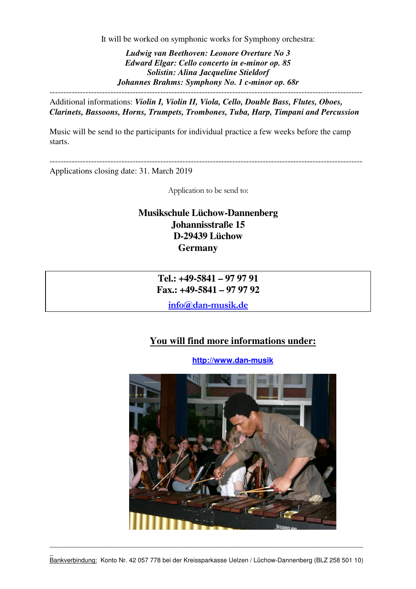It will be worked on symphonic works for Symphony orchestra:

*Ludwig van Beethoven: Leonore Overture No 3 Edward Elgar: Cello concerto in e-minor op. 85 Solistin: Alina Jacqueline Stieldorf Johannes Brahms: Symphony No. 1 c-minor op. 68r*  -----------------------------------------------------------------------------------------------------------------

Additional informations: *Violin I, Violin II, Viola, Cello, Double Bass, Flutes, Oboes, Clarinets, Bassoons, Horns, Trumpets, Trombones, Tuba, Harp, Timpani and Percussion* 

Music will be send to the participants for individual practice a few weeks before the camp starts.

Applications closing date: 31. March 2019

Application to be send to:

-----------------------------------------------------------------------------------------------------------------

### **Musikschule Lüchow-Dannenberg Johannisstraße 15 D-29439 Lüchow Germany**

**Tel.: +49-5841 – 97 97 91 Fax.: +49-5841 – 97 97 92** 

**info@dan-musik.de**

### **You will find more informations under:**

**http://www.dan-musik**

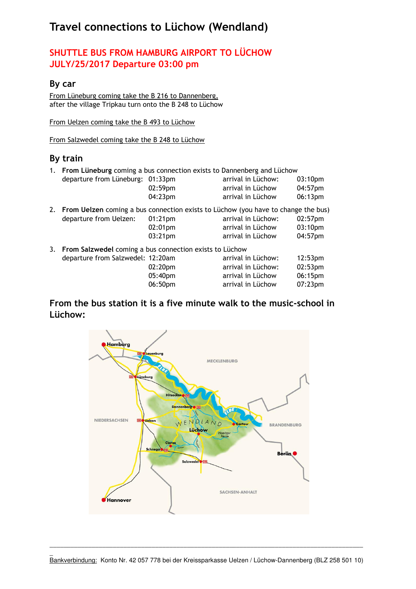# **Travel connections to Lüchow (Wendland)**

# **SHUTTLE BUS FROM HAMBURG AIRPORT TO LÜCHOW JULY/25/2017 Departure 03:00 pm**

#### **By car**

From Lüneburg coming take the B 216 to Dannenberg, after the village Tripkau turn onto the B 248 to Lüchow

From Uelzen coming take the B 493 to Lüchow

From Salzwedel coming take the B 248 to Lüchow

#### **By train**

| 1. From Lüneburg coming a bus connection exists to Dannenberg and Lüchow             |            |                    |         |
|--------------------------------------------------------------------------------------|------------|--------------------|---------|
| departure from Lüneburg: 01:33pm                                                     |            | arrival in Lüchow: | 03:10pm |
|                                                                                      | 02:59pm    | arrival in Lüchow  | 04:57pm |
|                                                                                      | 04:23pm    | arrival in Lüchow  | 06:13pm |
| 2. From Uelzen coming a bus connection exists to Lüchow (you have to change the bus) |            |                    |         |
| departure from Uelzen:                                                               | $01:21$ pm | arrival in Lüchow: | 02:57pm |
|                                                                                      | 02:01pm    | arrival in Lüchow  | 03:10pm |
|                                                                                      | 03:21pm    | arrival in Lüchow  | 04:57pm |
| 3. From Salzwedel coming a bus connection exists to Lüchow                           |            |                    |         |
| departure from Salzwedel: 12:20am                                                    |            | arrival in Lüchow: | 12:53pm |
|                                                                                      | 02:20pm    | arrival in Lüchow: | 02:53pm |
|                                                                                      | 05:40pm    | arrival in Lüchow  | 06:15pm |
|                                                                                      | 06:50pm    | arrival in Lüchow  | 07:23pm |

#### **From the bus station it is a five minute walk to the music-school in Lüchow:**

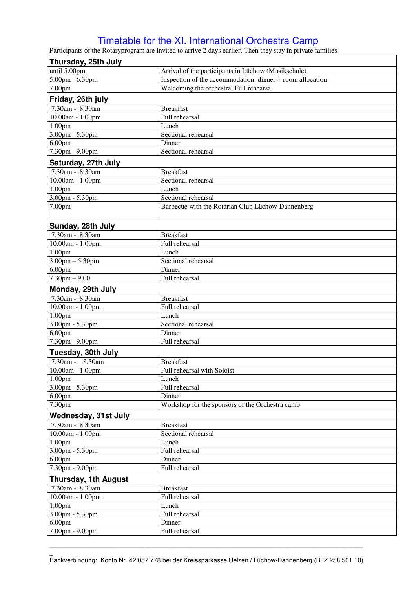# Timetable for the XI. International Orchestra Camp

Participants of the Rotaryprogram are invited to arrive 2 days earlier. Then they stay in private families.

| Thursday, 25th July                                     |                                                           |  |  |  |  |
|---------------------------------------------------------|-----------------------------------------------------------|--|--|--|--|
| until 5.00pm                                            | Arrival of the participants in Lüchow (Musikschule)       |  |  |  |  |
| 5.00pm - 6.30pm                                         | Inspection of the accommodation; dinner + room allocation |  |  |  |  |
| 7.00pm                                                  | Welcoming the orchestra; Full rehearsal                   |  |  |  |  |
| Friday, 26th july                                       |                                                           |  |  |  |  |
| 7.30am - 8.30am                                         | <b>Breakfast</b>                                          |  |  |  |  |
| 10.00am - 1.00pm                                        | Full rehearsal                                            |  |  |  |  |
| 1.00 <sub>pm</sub>                                      | Lunch                                                     |  |  |  |  |
| $3.00 \text{pm} - 5.30 \text{pm}$                       | Sectional rehearsal                                       |  |  |  |  |
| 6.00 <sub>pm</sub>                                      | Dinner                                                    |  |  |  |  |
| 7.30pm - 9.00pm                                         | Sectional rehearsal                                       |  |  |  |  |
| Saturday, 27th July                                     |                                                           |  |  |  |  |
| 7.30am - 8.30am                                         | <b>Breakfast</b>                                          |  |  |  |  |
| $10.00am - 1.00pm$                                      | Sectional rehearsal                                       |  |  |  |  |
| 1.00 <sub>pm</sub>                                      | Lunch                                                     |  |  |  |  |
| $3.00$ pm - $5.30$ pm                                   | Sectional rehearsal                                       |  |  |  |  |
| 7.00pm                                                  | Barbecue with the Rotarian Club Lüchow-Dannenberg         |  |  |  |  |
|                                                         |                                                           |  |  |  |  |
| Sunday, 28th July                                       |                                                           |  |  |  |  |
| 7.30am - 8.30am                                         | <b>Breakfast</b>                                          |  |  |  |  |
| 10.00am - 1.00pm                                        | Full rehearsal                                            |  |  |  |  |
| 1.00 <sub>pm</sub>                                      | Lunch                                                     |  |  |  |  |
| $3.00$ pm $- 5.30$ pm                                   | Sectional rehearsal                                       |  |  |  |  |
| 6.00 <sub>pm</sub>                                      | Dinner                                                    |  |  |  |  |
| $7.30$ pm $-9.00$                                       | Full rehearsal                                            |  |  |  |  |
|                                                         |                                                           |  |  |  |  |
| Monday, 29th July<br>7.30am - 8.30am                    | <b>Breakfast</b>                                          |  |  |  |  |
| 10.00am - 1.00pm                                        | Full rehearsal                                            |  |  |  |  |
| 1.00 <sub>pm</sub>                                      | Lunch                                                     |  |  |  |  |
| 3.00pm - 5.30pm                                         | Sectional rehearsal                                       |  |  |  |  |
| 6.00 <sub>pm</sub>                                      | Dinner                                                    |  |  |  |  |
| 7.30pm - 9.00pm                                         | Full rehearsal                                            |  |  |  |  |
|                                                         |                                                           |  |  |  |  |
| Tuesday, 30th July                                      |                                                           |  |  |  |  |
| 7.30am - 8.30am                                         | <b>Breakfast</b>                                          |  |  |  |  |
| 10.00am - 1.00pm                                        | Full rehearsal with Soloist                               |  |  |  |  |
| 1.00 <sub>pm</sub><br>$3.00$ pm - $5.30$ pm             | Lunch                                                     |  |  |  |  |
|                                                         | Full rehearsal<br>Dinner                                  |  |  |  |  |
| 6.00 <sub>pm</sub><br>7.30pm                            | Workshop for the sponsors of the Orchestra camp           |  |  |  |  |
|                                                         |                                                           |  |  |  |  |
| <b>Wednesday, 31st July</b>                             |                                                           |  |  |  |  |
| 7.30am - 8.30am                                         | <b>Breakfast</b>                                          |  |  |  |  |
| 10.00am - 1.00pm                                        | Sectional rehearsal<br>Lunch                              |  |  |  |  |
| 1.00 <sub>pm</sub><br>$3.00 \text{pm} - 5.30 \text{pm}$ | Full rehearsal                                            |  |  |  |  |
|                                                         |                                                           |  |  |  |  |
| 6.00 <sub>pm</sub><br>7.30pm - 9.00pm                   | Dinner<br>Full rehearsal                                  |  |  |  |  |
|                                                         |                                                           |  |  |  |  |
| <b>Thursday, 1th August</b>                             |                                                           |  |  |  |  |
| 7.30am - 8.30am                                         | <b>Breakfast</b>                                          |  |  |  |  |
| 10.00am - 1.00pm                                        | Full rehearsal                                            |  |  |  |  |
| 1.00 <sub>pm</sub>                                      | Lunch                                                     |  |  |  |  |
| $3.00$ pm - $5.30$ pm                                   | Full rehearsal                                            |  |  |  |  |
| 6.00 <sub>pm</sub>                                      | Dinner                                                    |  |  |  |  |
| 7.00pm - 9.00pm                                         | Full rehearsal                                            |  |  |  |  |